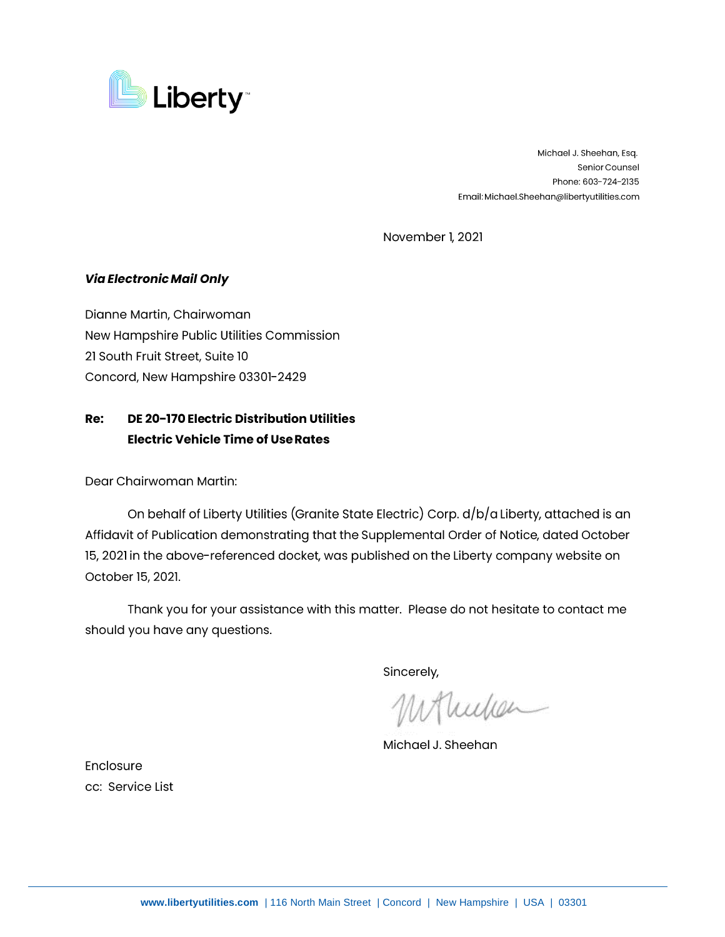

Michael J. Sheehan, Esq. Senior Counsel Phone: 603-724-2135 Email: Michael.Sheehan@libertyutilities.com

November 1, 2021

## **Via Electronic Mail Only**

Dianne Martin, Chairwoman New Hampshire Public Utilities Commission 21 South Fruit Street, Suite 10 Concord, New Hampshire 03301-2429

## **Re: DE 20-170 Electric Distribution Utilities Electric Vehicle Time of Use Rates**

Dear Chairwoman Martin:

On behalf of Liberty Utilities (Granite State Electric) Corp. d/b/a Liberty, attached is an Affidavit of Publication demonstrating that the Supplemental Order of Notice, dated October 15, 2021 in the above-referenced docket, was published on the Liberty company website on October 15, 2021.

Thank you for your assistance with this matter. Please do not hesitate to contact me should you have any questions.

Sincerely,

Mullen

Michael J. Sheehan

Enclosure cc: Service List